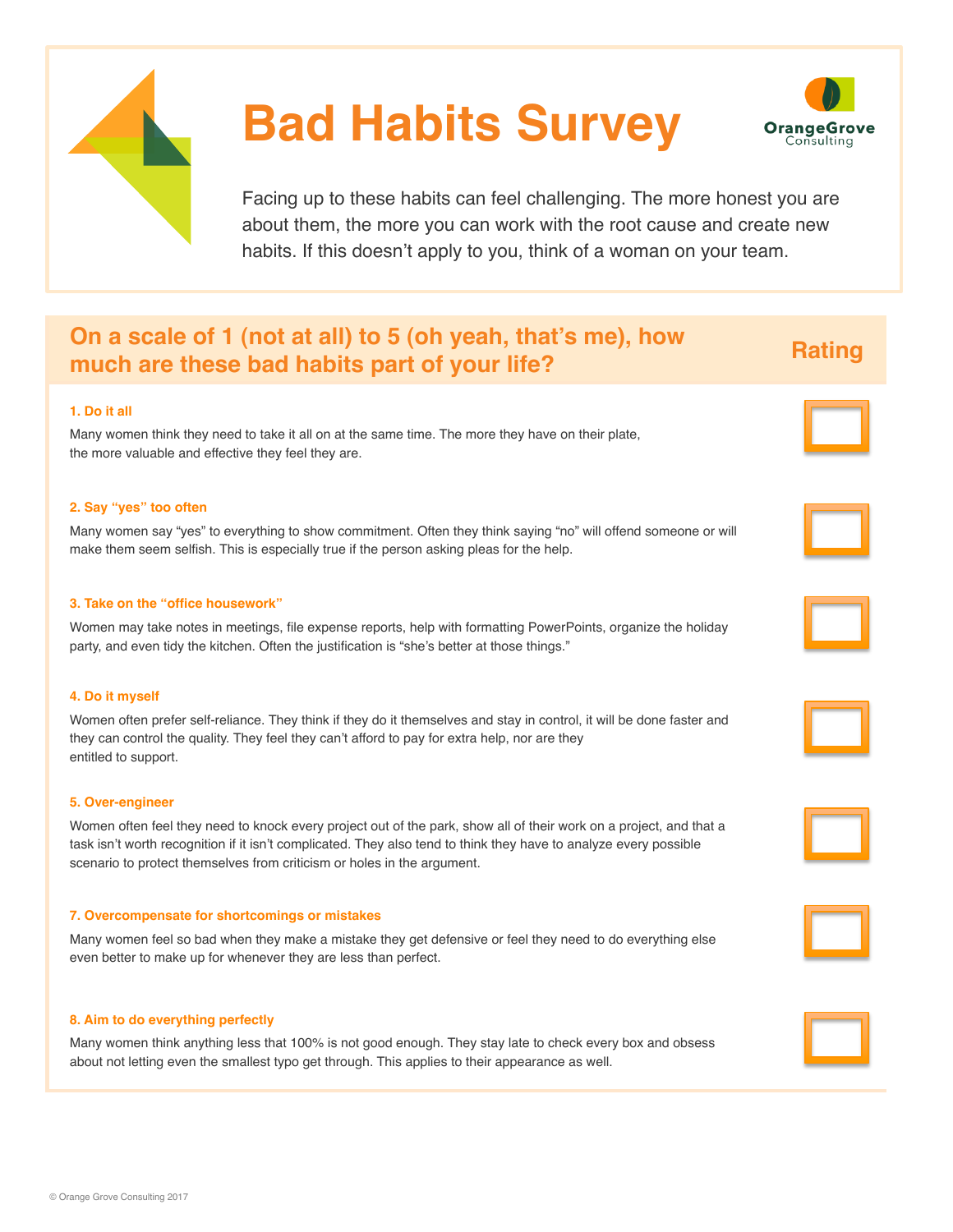

# **Bad Habits Survey**



Facing up to these habits can feel challenging. The more honest you are about them, the more you can work with the root cause and create new habits. If this doesn't apply to you, think of a woman on your team.

# **On a scale of 1 (not at all) to 5 (oh yeah, that's me), how much are these bad habits part of your life? Rating Rating**

# **1. Do it all**

Many women think they need to take it all on at the same time. The more they have on their plate, the more valuable and effective they feel they are.

#### **2. Say "yes" too often**

Many women say "yes" to everything to show commitment. Often they think saying "no" will offend someone or will make them seem selfish. This is especially true if the person asking pleas for the help.

### **3. Take on the "office housework"**

Women may take notes in meetings, file expense reports, help with formatting PowerPoints, organize the holiday party, and even tidy the kitchen. Often the justification is "she's better at those things."

#### **4. Do it myself**

Women often prefer self-reliance. They think if they do it themselves and stay in control, it will be done faster and they can control the quality. They feel they can't afford to pay for extra help, nor are they entitled to support.

#### **5. Over-engineer**

Women often feel they need to knock every project out of the park, show all of their work on a project, and that a task isn't worth recognition if it isn't complicated. They also tend to think they have to analyze every possible scenario to protect themselves from criticism or holes in the argument.

#### **7. Overcompensate for shortcomings or mistakes**

Many women feel so bad when they make a mistake they get defensive or feel they need to do everything else even better to make up for whenever they are less than perfect.

#### **8. Aim to do everything perfectly**

Many women think anything less that 100% is not good enough. They stay late to check every box and obsess about not letting even the smallest typo get through. This applies to their appearance as well.